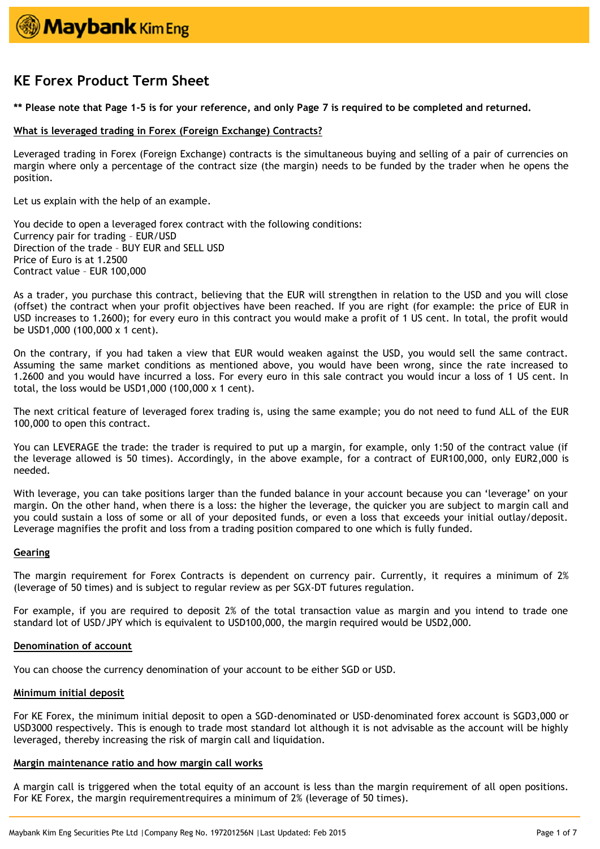

# **KE Forex Product Term Sheet**

**\*\* Please note that Page 1-5 is for your reference, and only Page 7 is required to be completed and returned.**

# **What is leveraged trading in Forex (Foreign Exchange) Contracts?**

Leveraged trading in Forex (Foreign Exchange) contracts is the simultaneous buying and selling of a pair of currencies on margin where only a percentage of the contract size (the margin) needs to be funded by the trader when he opens the position.

Let us explain with the help of an example.

You decide to open a leveraged forex contract with the following conditions: Currency pair for trading – EUR/USD Direction of the trade – BUY EUR and SELL USD Price of Euro is at 1.2500 Contract value – EUR 100,000

As a trader, you purchase this contract, believing that the EUR will strengthen in relation to the USD and you will close (offset) the contract when your profit objectives have been reached. If you are right (for example: the price of EUR in USD increases to 1.2600); for every euro in this contract you would make a profit of 1 US cent. In total, the profit would be USD1,000 (100,000 x 1 cent).

On the contrary, if you had taken a view that EUR would weaken against the USD, you would sell the same contract. Assuming the same market conditions as mentioned above, you would have been wrong, since the rate increased to 1.2600 and you would have incurred a loss. For every euro in this sale contract you would incur a loss of 1 US cent. In total, the loss would be USD1,000 (100,000 x 1 cent).

The next critical feature of leveraged forex trading is, using the same example; you do not need to fund ALL of the EUR 100,000 to open this contract.

You can LEVERAGE the trade: the trader is required to put up a margin, for example, only 1:50 of the contract value (if the leverage allowed is 50 times). Accordingly, in the above example, for a contract of EUR100,000, only EUR2,000 is needed.

With leverage, you can take positions larger than the funded balance in your account because you can 'leverage' on your margin. On the other hand, when there is a loss: the higher the leverage, the quicker you are subject to margin call and you could sustain a loss of some or all of your deposited funds, or even a loss that exceeds your initial outlay/deposit. Leverage magnifies the profit and loss from a trading position compared to one which is fully funded.

### **Gearing**

The margin requirement for Forex Contracts is dependent on currency pair. Currently, it requires a minimum of 2% (leverage of 50 times) and is subject to regular review as per SGX-DT futures regulation.

For example, if you are required to deposit 2% of the total transaction value as margin and you intend to trade one standard lot of USD/JPY which is equivalent to USD100,000, the margin required would be USD2,000.

### **Denomination of account**

You can choose the currency denomination of your account to be either SGD or USD.

### **Minimum initial deposit**

For KE Forex, the minimum initial deposit to open a SGD-denominated or USD-denominated forex account is SGD3,000 or USD3000 respectively. This is enough to trade most standard lot although it is not advisable as the account will be highly leveraged, thereby increasing the risk of margin call and liquidation.

### **Margin maintenance ratio and how margin call works**

A margin call is triggered when the total equity of an account is less than the margin requirement of all open positions. For KE Forex, the margin requirementrequires a minimum of 2% (leverage of 50 times).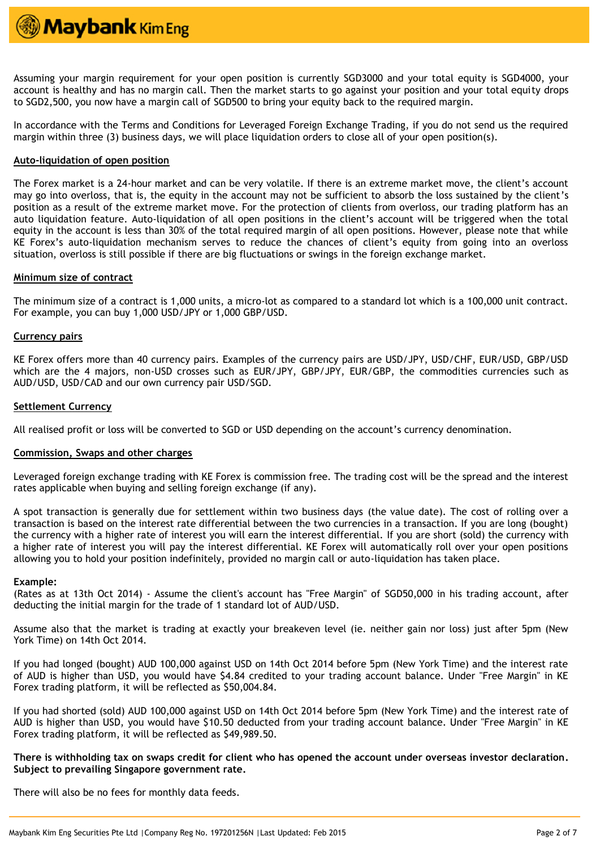

Assuming your margin requirement for your open position is currently SGD3000 and your total equity is SGD4000, your account is healthy and has no margin call. Then the market starts to go against your position and your total equity drops to SGD2,500, you now have a margin call of SGD500 to bring your equity back to the required margin.

In accordance with the Terms and Conditions for Leveraged Foreign Exchange Trading, if you do not send us the required margin within three (3) business days, we will place liquidation orders to close all of your open position(s).

### **Auto-liquidation of open position**

The Forex market is a 24-hour market and can be very volatile. If there is an extreme market move, the client's account may go into overloss, that is, the equity in the account may not be sufficient to absorb the loss sustained by the client's position as a result of the extreme market move. For the protection of clients from overloss, our trading platform has an auto liquidation feature. Auto-liquidation of all open positions in the client's account will be triggered when the total equity in the account is less than 30% of the total required margin of all open positions. However, please note that while KE Forex's auto-liquidation mechanism serves to reduce the chances of client's equity from going into an overloss situation, overloss is still possible if there are big fluctuations or swings in the foreign exchange market.

### **Minimum size of contract**

The minimum size of a contract is 1,000 units, a micro-lot as compared to a standard lot which is a 100,000 unit contract. For example, you can buy 1,000 USD/JPY or 1,000 GBP/USD.

### **Currency pairs**

KE Forex offers more than 40 currency pairs. Examples of the currency pairs are USD/JPY, USD/CHF, EUR/USD, GBP/USD which are the 4 majors, non-USD crosses such as EUR/JPY, GBP/JPY, EUR/GBP, the commodities currencies such as AUD/USD, USD/CAD and our own currency pair USD/SGD.

### **Settlement Currency**

All realised profit or loss will be converted to SGD or USD depending on the account's currency denomination.

#### **Commission, Swaps and other charges**

Leveraged foreign exchange trading with KE Forex is commission free. The trading cost will be the spread and the interest rates applicable when buying and selling foreign exchange (if any).

A spot transaction is generally due for settlement within two business days (the value date). The cost of rolling over a transaction is based on the interest rate differential between the two currencies in a transaction. If you are long (bought) the currency with a higher rate of interest you will earn the interest differential. If you are short (sold) the currency with a higher rate of interest you will pay the interest differential. KE Forex will automatically roll over your open positions allowing you to hold your position indefinitely, provided no margin call or auto-liquidation has taken place.

#### **Example:**

(Rates as at 13th Oct 2014) - Assume the client's account has "Free Margin" of SGD50,000 in his trading account, after deducting the initial margin for the trade of 1 standard lot of AUD/USD.

Assume also that the market is trading at exactly your breakeven level (ie. neither gain nor loss) just after 5pm (New York Time) on 14th Oct 2014.

If you had longed (bought) AUD 100,000 against USD on 14th Oct 2014 before 5pm (New York Time) and the interest rate of AUD is higher than USD, you would have \$4.84 credited to your trading account balance. Under "Free Margin" in KE Forex trading platform, it will be reflected as \$50,004.84.

If you had shorted (sold) AUD 100,000 against USD on 14th Oct 2014 before 5pm (New York Time) and the interest rate of AUD is higher than USD, you would have \$10.50 deducted from your trading account balance. Under "Free Margin" in KE Forex trading platform, it will be reflected as \$49,989.50.

**There is withholding tax on swaps credit for client who has opened the account under overseas investor declaration. Subject to prevailing Singapore government rate.**

There will also be no fees for monthly data feeds.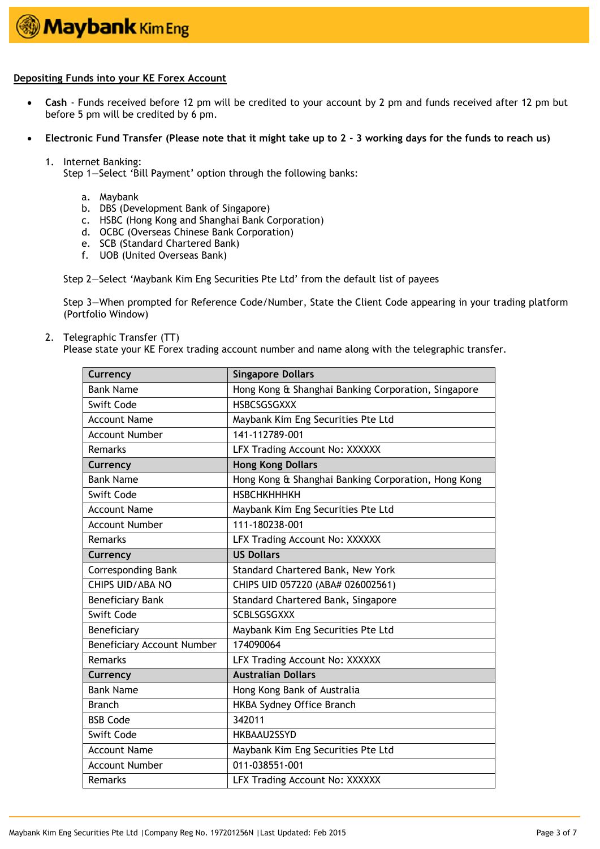# **Maybank Kim Eng**

# **Depositing Funds into your KE Forex Account**

- **Cash**  Funds received before 12 pm will be credited to your account by 2 pm and funds received after 12 pm but before 5 pm will be credited by 6 pm.
- **Electronic Fund Transfer (Please note that it might take up to 2 - 3 working days for the funds to reach us)** 
	- 1. Internet Banking:
		- Step 1-Select 'Bill Payment' option through the following banks:
			- a. Maybank
			- b. DBS (Development Bank of Singapore)
			- c. HSBC (Hong Kong and Shanghai Bank Corporation)
			- d. OCBC (Overseas Chinese Bank Corporation)
			- e. SCB (Standard Chartered Bank)
			- f. UOB (United Overseas Bank)

Step 2–Select 'Maybank Kim Eng Securities Pte Ltd' from the default list of payees

Step 3—When prompted for Reference Code/Number, State the Client Code appearing in your trading platform (Portfolio Window)

- 2. Telegraphic Transfer (TT)
	- Please state your KE Forex trading account number and name along with the telegraphic transfer.

| Currency                   | <b>Singapore Dollars</b>                            |
|----------------------------|-----------------------------------------------------|
| <b>Bank Name</b>           | Hong Kong & Shanghai Banking Corporation, Singapore |
| Swift Code                 | <b>HSBCSGSGXXX</b>                                  |
| <b>Account Name</b>        | Maybank Kim Eng Securities Pte Ltd                  |
| <b>Account Number</b>      | 141-112789-001                                      |
| Remarks                    | LFX Trading Account No: XXXXXX                      |
| Currency                   | <b>Hong Kong Dollars</b>                            |
| <b>Bank Name</b>           | Hong Kong & Shanghai Banking Corporation, Hong Kong |
| <b>Swift Code</b>          | <b>НЅВСНКНННКН</b>                                  |
| <b>Account Name</b>        | Maybank Kim Eng Securities Pte Ltd                  |
| <b>Account Number</b>      | 111-180238-001                                      |
| Remarks                    | LFX Trading Account No: XXXXXX                      |
| Currency                   | <b>US Dollars</b>                                   |
| <b>Corresponding Bank</b>  | <b>Standard Chartered Bank, New York</b>            |
| CHIPS UID/ABA NO           | CHIPS UID 057220 (ABA# 026002561)                   |
| <b>Beneficiary Bank</b>    | Standard Chartered Bank, Singapore                  |
| Swift Code                 | <b>SCBLSGSGXXX</b>                                  |
| Beneficiary                | Maybank Kim Eng Securities Pte Ltd                  |
| Beneficiary Account Number | 174090064                                           |
| <b>Remarks</b>             | LFX Trading Account No: XXXXXX                      |
| Currency                   | <b>Australian Dollars</b>                           |
| <b>Bank Name</b>           | Hong Kong Bank of Australia                         |
| <b>Branch</b>              | HKBA Sydney Office Branch                           |
| <b>BSB Code</b>            | 342011                                              |
| Swift Code                 | HKBAAU2SSYD                                         |
| <b>Account Name</b>        | Maybank Kim Eng Securities Pte Ltd                  |
| <b>Account Number</b>      | 011-038551-001                                      |
| Remarks                    | LFX Trading Account No: XXXXXX                      |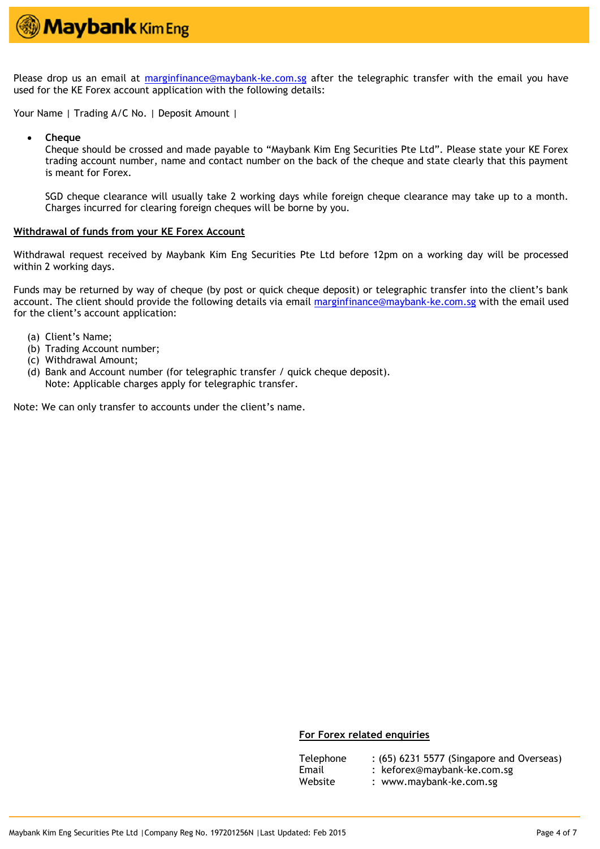

Please drop us an email at [marginfinance@maybank-ke.com.sg](mailto:marginfinance@maybank-ke.com.sg) after the telegraphic transfer with the email you have used for the KE Forex account application with the following details:

Your Name | Trading A/C No. | Deposit Amount |

**Cheque**

Cheque should be crossed and made payable to "Maybank Kim Eng Securities Pte Ltd". Please state your KE Forex trading account number, name and contact number on the back of the cheque and state clearly that this payment is meant for Forex.

SGD cheque clearance will usually take 2 working days while foreign cheque clearance may take up to a month. Charges incurred for clearing foreign cheques will be borne by you.

### **Withdrawal of funds from your KE Forex Account**

Withdrawal request received by Maybank Kim Eng Securities Pte Ltd before 12pm on a working day will be processed within 2 working days.

Funds may be returned by way of cheque (by post or quick cheque deposit) or telegraphic transfer into the client's bank account. The client should provide the following details via email [marginfinance@maybank-ke.com.sg](mailto:marginfinance@maybank-ke.com.sg) with the email used for the client's account application:

- (a) Client's Name;
- (b) Trading Account number;
- (c) Withdrawal Amount;
- (d) Bank and Account number (for telegraphic transfer / quick cheque deposit). Note: Applicable charges apply for telegraphic transfer.

Note: We can only transfer to accounts under the client's name.

### **For Forex related enquiries**

| Telephone | : (65) 6231 5577 (Singapore and Overseas) |
|-----------|-------------------------------------------|
| Email     | : keforex@maybank-ke.com.sg               |
| Website   | : www.maybank-ke.com.sg                   |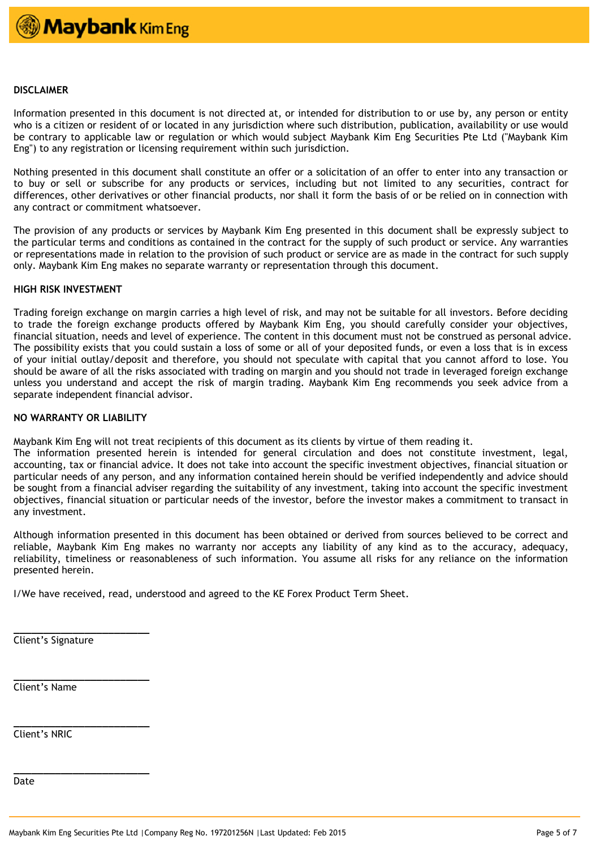### **DISCLAIMER**

Information presented in this document is not directed at, or intended for distribution to or use by, any person or entity who is a citizen or resident of or located in any jurisdiction where such distribution, publication, availability or use would be contrary to applicable law or regulation or which would subject Maybank Kim Eng Securities Pte Ltd ("Maybank Kim Eng") to any registration or licensing requirement within such jurisdiction.

Nothing presented in this document shall constitute an offer or a solicitation of an offer to enter into any transaction or to buy or sell or subscribe for any products or services, including but not limited to any securities, contract for differences, other derivatives or other financial products, nor shall it form the basis of or be relied on in connection with any contract or commitment whatsoever.

The provision of any products or services by Maybank Kim Eng presented in this document shall be expressly subject to the particular terms and conditions as contained in the contract for the supply of such product or service. Any warranties or representations made in relation to the provision of such product or service are as made in the contract for such supply only. Maybank Kim Eng makes no separate warranty or representation through this document.

### **HIGH RISK INVESTMENT**

Trading foreign exchange on margin carries a high level of risk, and may not be suitable for all investors. Before deciding to trade the foreign exchange products offered by Maybank Kim Eng, you should carefully consider your objectives, financial situation, needs and level of experience. The content in this document must not be construed as personal advice. The possibility exists that you could sustain a loss of some or all of your deposited funds, or even a loss that is in excess of your initial outlay/deposit and therefore, you should not speculate with capital that you cannot afford to lose. You should be aware of all the risks associated with trading on margin and you should not trade in leveraged foreign exchange unless you understand and accept the risk of margin trading. Maybank Kim Eng recommends you seek advice from a separate independent financial advisor.

# **NO WARRANTY OR LIABILITY**

Maybank Kim Eng will not treat recipients of this document as its clients by virtue of them reading it.

The information presented herein is intended for general circulation and does not constitute investment, legal, accounting, tax or financial advice. It does not take into account the specific investment objectives, financial situation or particular needs of any person, and any information contained herein should be verified independently and advice should be sought from a financial adviser regarding the suitability of any investment, taking into account the specific investment objectives, financial situation or particular needs of the investor, before the investor makes a commitment to transact in any investment.

Although information presented in this document has been obtained or derived from sources believed to be correct and reliable, Maybank Kim Eng makes no warranty nor accepts any liability of any kind as to the accuracy, adequacy, reliability, timeliness or reasonableness of such information. You assume all risks for any reliance on the information presented herein.

I/We have received, read, understood and agreed to the KE Forex Product Term Sheet.

Client's Signature

**\_\_\_\_\_\_\_\_\_\_\_\_\_\_\_\_\_\_\_\_\_\_\_**

**\_\_\_\_\_\_\_\_\_\_\_\_\_\_\_\_\_\_\_\_\_\_\_**

**\_\_\_\_\_\_\_\_\_\_\_\_\_\_\_\_\_\_\_\_\_\_\_**

**\_\_\_\_\_\_\_\_\_\_\_\_\_\_\_\_\_\_\_\_\_\_\_**

Client's Name

Client's NRIC

Date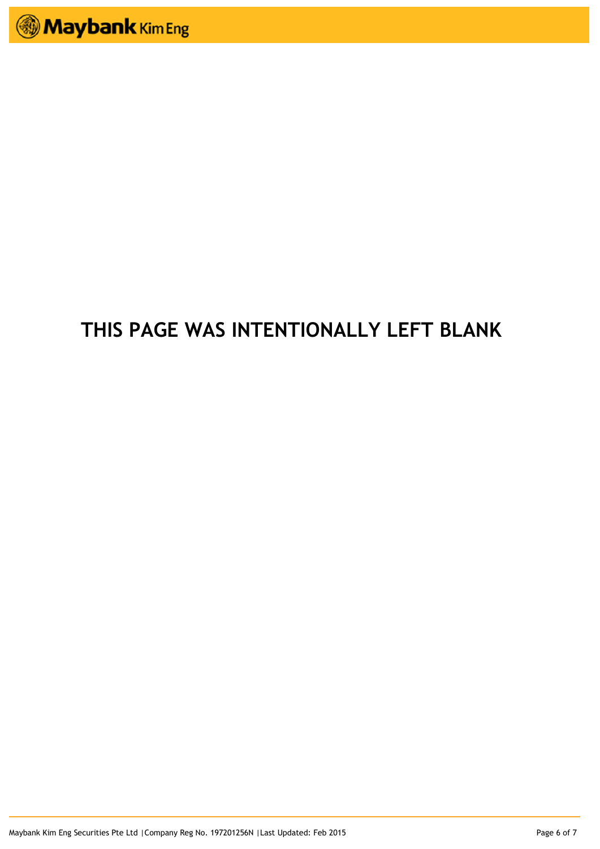# **THIS PAGE WAS INTENTIONALLY LEFT BLANK**